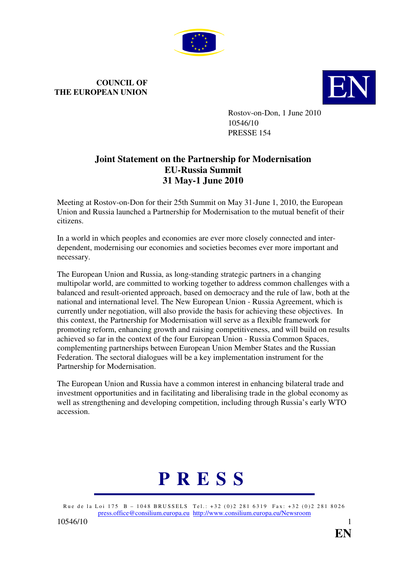

## **COUNCIL OF THE EUROPEAN UNION**



Rostov-on-Don, 1 June 2010 10546/10 PRESSE 154

## **Joint Statement on the Partnership for Modernisation EU-Russia Summit 31 May-1 June 2010**

Meeting at Rostov-on-Don for their 25th Summit on May 31-June 1, 2010, the European Union and Russia launched a Partnership for Modernisation to the mutual benefit of their citizens.

In a world in which peoples and economies are ever more closely connected and interdependent, modernising our economies and societies becomes ever more important and necessary.

The European Union and Russia, as long-standing strategic partners in a changing multipolar world, are committed to working together to address common challenges with a balanced and result-oriented approach, based on democracy and the rule of law, both at the national and international level. The New European Union - Russia Agreement, which is currently under negotiation, will also provide the basis for achieving these objectives. In this context, the Partnership for Modernisation will serve as a flexible framework for promoting reform, enhancing growth and raising competitiveness, and will build on results achieved so far in the context of the four European Union - Russia Common Spaces, complementing partnerships between European Union Member States and the Russian Federation. The sectoral dialogues will be a key implementation instrument for the Partnership for Modernisation.

The European Union and Russia have a common interest in enhancing bilateral trade and investment opportunities and in facilitating and liberalising trade in the global economy as well as strengthening and developing competition, including through Russia's early WTO accession.

## **P R E S S**

Rue de la Loi 175 B – 1048 BRUSSELS Tel.: +32 (0)2 281 6319 Fax: +32 (0)2 281 8026 press.office@consilium.europa.eu http://www.consilium.europa.eu/Newsroom